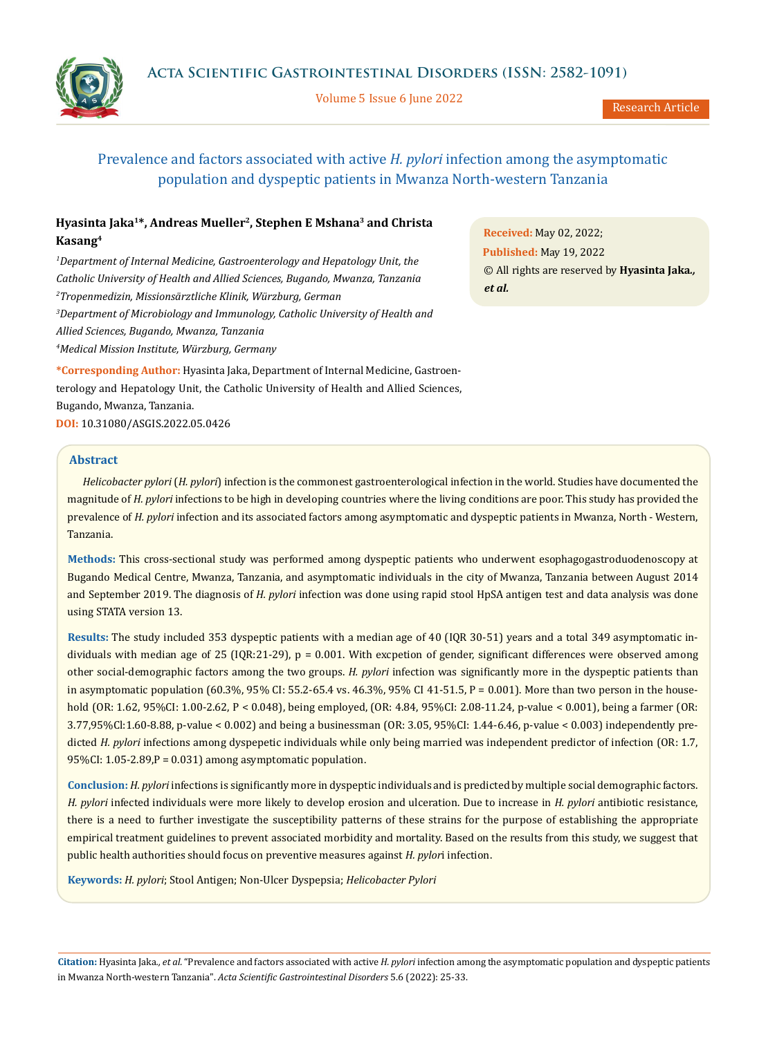

Volume 5 Issue 6 June 2022



# Prevalence and factors associated with active *H. pylori* infection among the asymptomatic population and dyspeptic patients in Mwanza North-western Tanzania

## **Hyasinta Jaka1\*, Andreas Mueller2, Stephen E Mshana3 and Christa Kasang4**

<sup>1</sup>Department of Internal Medicine, Gastroenterology and Hepatology Unit, the *Catholic University of Health and Allied Sciences, Bugando, Mwanza, Tanzania 2 Tropenmedizin, Missionsärztliche Klinik, Würzburg, German 3 Department of Microbiology and Immunology, Catholic University of Health and Allied Sciences, Bugando, Mwanza, Tanzania 4 Medical Mission Institute, Würzburg, Germany*

**\*Corresponding Author:** Hyasinta Jaka, Department of Internal Medicine, Gastroenterology and Hepatology Unit, the Catholic University of Health and Allied Sciences, Bugando, Mwanza, Tanzania. **DOI:** [10.31080/ASGIS.2022.05.0426](https://actascientific.com/ASGIS/pdf/ASGIS-05-0426.pdf)

**Received:** May 02, 2022; **Published:** May 19, 2022 © All rights are reserved by **Hyasinta Jaka***., et al.*

### **Abstract**

*Helicobacter pylori* (*H. pylori*) infection is the commonest gastroenterological infection in the world. Studies have documented the magnitude of *H. pylori* infections to be high in developing countries where the living conditions are poor. This study has provided the prevalence of *H. pylori* infection and its associated factors among asymptomatic and dyspeptic patients in Mwanza, North - Western, Tanzania.

**Methods:** This cross-sectional study was performed among dyspeptic patients who underwent esophagogastroduodenoscopy at Bugando Medical Centre, Mwanza, Tanzania, and asymptomatic individuals in the city of Mwanza, Tanzania between August 2014 and September 2019. The diagnosis of *H. pylori* infection was done using rapid stool HpSA antigen test and data analysis was done using STATA version 13.

**Results:** The study included 353 dyspeptic patients with a median age of 40 (IQR 30-51) years and a total 349 asymptomatic individuals with median age of 25 (IQR:21-29), p = 0.001. With excpetion of gender, significant differences were observed among other social-demographic factors among the two groups. *H. pylori* infection was significantly more in the dyspeptic patients than in asymptomatic population (60.3%, 95% CI: 55.2-65.4 vs. 46.3%, 95% CI 41-51.5, P = 0.001). More than two person in the household (OR: 1.62, 95%CI: 1.00-2.62, P < 0.048), being employed, (OR: 4.84, 95%CI: 2.08-11.24, p-value < 0.001), being a farmer (OR: 3.77,95%Cl:1.60-8.88, p-value < 0.002) and being a businessman (OR: 3.05, 95%CI: 1.44-6.46, p-value < 0.003) independently predicted *H. pylori* infections among dyspepetic individuals while only being married was independent predictor of infection (OR: 1.7, 95%CI: 1.05-2.89,P = 0.031) among asymptomatic population.

**Conclusion:** *H. pylori* infections is significantly more in dyspeptic individuals and is predicted by multiple social demographic factors. *H. pylori* infected individuals were more likely to develop erosion and ulceration. Due to increase in *H. pylori* antibiotic resistance, there is a need to further investigate the susceptibility patterns of these strains for the purpose of establishing the appropriate empirical treatment guidelines to prevent associated morbidity and mortality. Based on the results from this study, we suggest that public health authorities should focus on preventive measures against *H. pylor*i infection.

**Keywords:** *H. pylori*; Stool Antigen; Non-Ulcer Dyspepsia; *Helicobacter Pylori*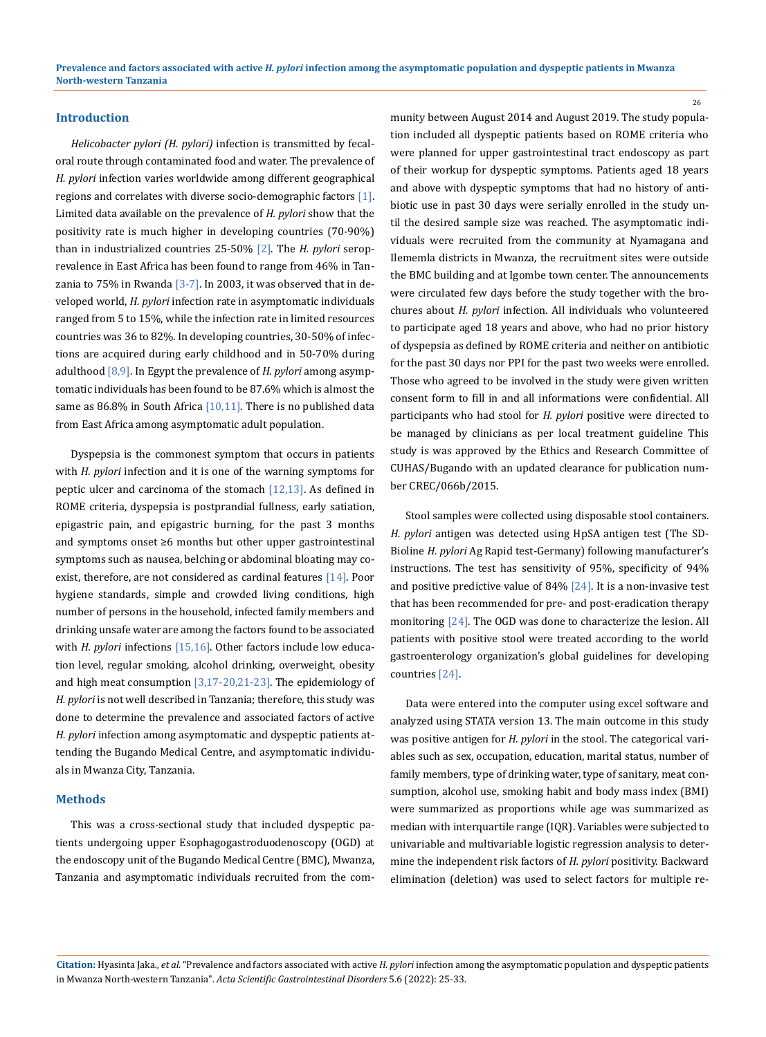### **Introduction**

*Helicobacter pylori (H. pylori)* infection is transmitted by fecaloral route through contaminated food and water. The prevalence of *H. pylori* infection varies worldwide among different geographical regions and correlates with diverse socio-demographic factors [1]. Limited data available on the prevalence of *H. pylori* show that the positivity rate is much higher in developing countries (70-90%) than in industrialized countries 25-50% [2]. The *H. pylori* seroprevalence in East Africa has been found to range from 46% in Tanzania to 75% in Rwanda  $[3-7]$ . In 2003, it was observed that in developed world, *H. pylori* infection rate in asymptomatic individuals ranged from 5 to 15%, while the infection rate in limited resources countries was 36 to 82%. In developing countries, 30-50% of infections are acquired during early childhood and in 50-70% during adulthood [8,9]. In Egypt the prevalence of *H. pylori* among asymptomatic individuals has been found to be 87.6% which is almost the same as 86.8% in South Africa  $[10,11]$ . There is no published data from East Africa among asymptomatic adult population.

Dyspepsia is the commonest symptom that occurs in patients with *H. pylori* infection and it is one of the warning symptoms for peptic ulcer and carcinoma of the stomach  $[12,13]$ . As defined in ROME criteria, dyspepsia is postprandial fullness, early satiation, epigastric pain, and epigastric burning, for the past 3 months and symptoms onset ≥6 months but other upper gastrointestinal symptoms such as nausea, belching or abdominal bloating may coexist, therefore, are not considered as cardinal features  $[14]$ . Poor hygiene standards, simple and crowded living conditions, high number of persons in the household, infected family members and drinking unsafe water are among the factors found to be associated with *H. pylori* infections [15,16]. Other factors include low education level, regular smoking, alcohol drinking, overweight, obesity and high meat consumption [3,17-20,21-23]. The epidemiology of *H. pylori* is not well described in Tanzania; therefore, this study was done to determine the prevalence and associated factors of active *H. pylori* infection among asymptomatic and dyspeptic patients attending the Bugando Medical Centre, and asymptomatic individuals in Mwanza City, Tanzania.

#### **Methods**

This was a cross-sectional study that included dyspeptic patients undergoing upper Esophagogastroduodenoscopy (OGD) at the endoscopy unit of the Bugando Medical Centre (BMC), Mwanza, Tanzania and asymptomatic individuals recruited from the community between August 2014 and August 2019. The study population included all dyspeptic patients based on ROME criteria who were planned for upper gastrointestinal tract endoscopy as part of their workup for dyspeptic symptoms. Patients aged 18 years and above with dyspeptic symptoms that had no history of antibiotic use in past 30 days were serially enrolled in the study until the desired sample size was reached. The asymptomatic individuals were recruited from the community at Nyamagana and Ilememla districts in Mwanza, the recruitment sites were outside the BMC building and at Igombe town center. The announcements were circulated few days before the study together with the brochures about *H. pylori* infection. All individuals who volunteered to participate aged 18 years and above, who had no prior history of dyspepsia as defined by ROME criteria and neither on antibiotic for the past 30 days nor PPI for the past two weeks were enrolled. Those who agreed to be involved in the study were given written consent form to fill in and all informations were confidential. All participants who had stool for *H. pylori* positive were directed to be managed by clinicians as per local treatment guideline This study is was approved by the Ethics and Research Committee of CUHAS/Bugando with an updated clearance for publication number CREC/066b/2015.

Stool samples were collected using disposable stool containers. *H. pylori* antigen was detected using HpSA antigen test (The SD-Bioline *H. pylori* Ag Rapid test-Germany) following manufacturer's instructions. The test has sensitivity of 95%, specificity of 94% and positive predictive value of 84% [24]. It is a non-invasive test that has been recommended for pre- and post-eradication therapy monitoring [24]. The OGD was done to characterize the lesion. All patients with positive stool were treated according to the world gastroenterology organization's global guidelines for developing countries [24].

Data were entered into the computer using excel software and analyzed using STATA version 13. The main outcome in this study was positive antigen for *H. pylori* in the stool. The categorical variables such as sex, occupation, education, marital status, number of family members, type of drinking water, type of sanitary, meat consumption, alcohol use, smoking habit and body mass index (BMI) were summarized as proportions while age was summarized as median with interquartile range (IQR). Variables were subjected to univariable and multivariable logistic regression analysis to determine the independent risk factors of *H. pylori* positivity. Backward elimination (deletion) was used to select factors for multiple re-

**Citation:** Hyasinta Jaka*., et al.* "Prevalence and factors associated with active *H. pylori* infection among the asymptomatic population and dyspeptic patients in Mwanza North-western Tanzania". *Acta Scientific Gastrointestinal Disorders* 5.6 (2022): 25-33.

26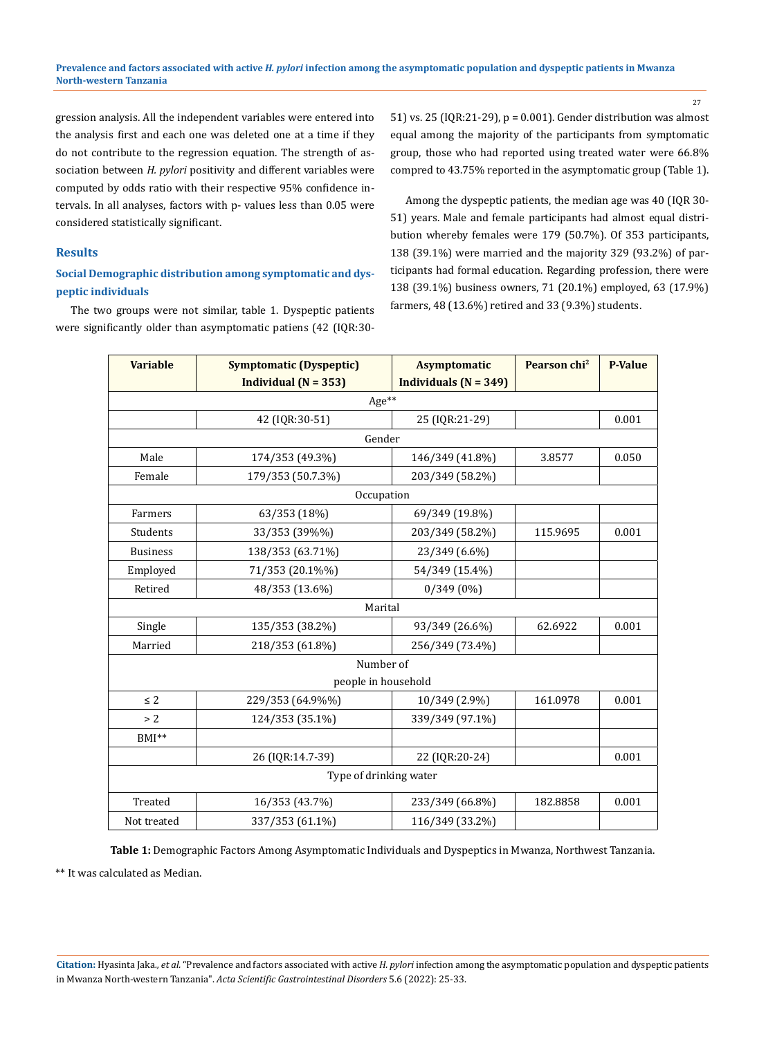27

gression analysis. All the independent variables were entered into the analysis first and each one was deleted one at a time if they do not contribute to the regression equation. The strength of association between *H. pylori* positivity and different variables were computed by odds ratio with their respective 95% confidence intervals. In all analyses, factors with p- values less than 0.05 were considered statistically significant.

### **Results**

## **Social Demographic distribution among symptomatic and dyspeptic individuals**

The two groups were not similar, table 1. Dyspeptic patients were significantly older than asymptomatic patiens (42 (IQR:3051) vs. 25 (IQR:21-29), p = 0.001). Gender distribution was almost equal among the majority of the participants from symptomatic group, those who had reported using treated water were 66.8% compred to 43.75% reported in the asymptomatic group (Table 1).

Among the dyspeptic patients, the median age was 40 (IQR 30- 51) years. Male and female participants had almost equal distribution whereby females were 179 (50.7%). Of 353 participants, 138 (39.1%) were married and the majority 329 (93.2%) of participants had formal education. Regarding profession, there were 138 (39.1%) business owners, 71 (20.1%) employed, 63 (17.9%) farmers, 48 (13.6%) retired and 33 (9.3%) students.

| <b>Variable</b>        | <b>Symptomatic (Dyspeptic)</b> | <b>Asymptomatic</b>     | Pearson chi <sup>2</sup> | <b>P-Value</b> |  |  |
|------------------------|--------------------------------|-------------------------|--------------------------|----------------|--|--|
|                        | Individual ( $N = 353$ )       | Individuals $(N = 349)$ |                          |                |  |  |
| Age**                  |                                |                         |                          |                |  |  |
|                        | 42 (IQR:30-51)                 | 25 (IQR:21-29)          |                          | 0.001          |  |  |
|                        | Gender                         |                         |                          |                |  |  |
| Male                   | 174/353 (49.3%)                | 146/349 (41.8%)         | 3.8577                   | 0.050          |  |  |
| Female                 | 179/353 (50.7.3%)              | 203/349 (58.2%)         |                          |                |  |  |
|                        | Occupation                     |                         |                          |                |  |  |
| Farmers                | 63/353 (18%)                   | 69/349 (19.8%)          |                          |                |  |  |
| Students               | 33/353 (39%%)                  | 203/349 (58.2%)         | 115.9695                 | 0.001          |  |  |
| <b>Business</b>        | 138/353 (63.71%)               | 23/349 (6.6%)           |                          |                |  |  |
| Employed               | 71/353 (20.1%%)                | 54/349 (15.4%)          |                          |                |  |  |
| Retired                | 48/353 (13.6%)                 | $0/349(0\%)$            |                          |                |  |  |
| Marital                |                                |                         |                          |                |  |  |
| Single                 | 135/353 (38.2%)                | 93/349 (26.6%)          | 62.6922                  | 0.001          |  |  |
| Married                | 218/353 (61.8%)                | 256/349 (73.4%)         |                          |                |  |  |
| Number of              |                                |                         |                          |                |  |  |
|                        | people in household            |                         |                          |                |  |  |
| $\leq$ 2               | 229/353 (64.9%%)               | 10/349 (2.9%)           | 161.0978                 | 0.001          |  |  |
| > 2                    | 124/353 (35.1%)                | 339/349 (97.1%)         |                          |                |  |  |
| $BMI**$                |                                |                         |                          |                |  |  |
|                        | 26 (IQR:14.7-39)               | 22 (IQR:20-24)          |                          | 0.001          |  |  |
| Type of drinking water |                                |                         |                          |                |  |  |
| Treated                | 16/353 (43.7%)                 | 233/349 (66.8%)         | 182.8858                 | 0.001          |  |  |
| Not treated            | 337/353 (61.1%)                | 116/349 (33.2%)         |                          |                |  |  |

**Table 1:** Demographic Factors Among Asymptomatic Individuals and Dyspeptics in Mwanza, Northwest Tanzania.

\*\* It was calculated as Median.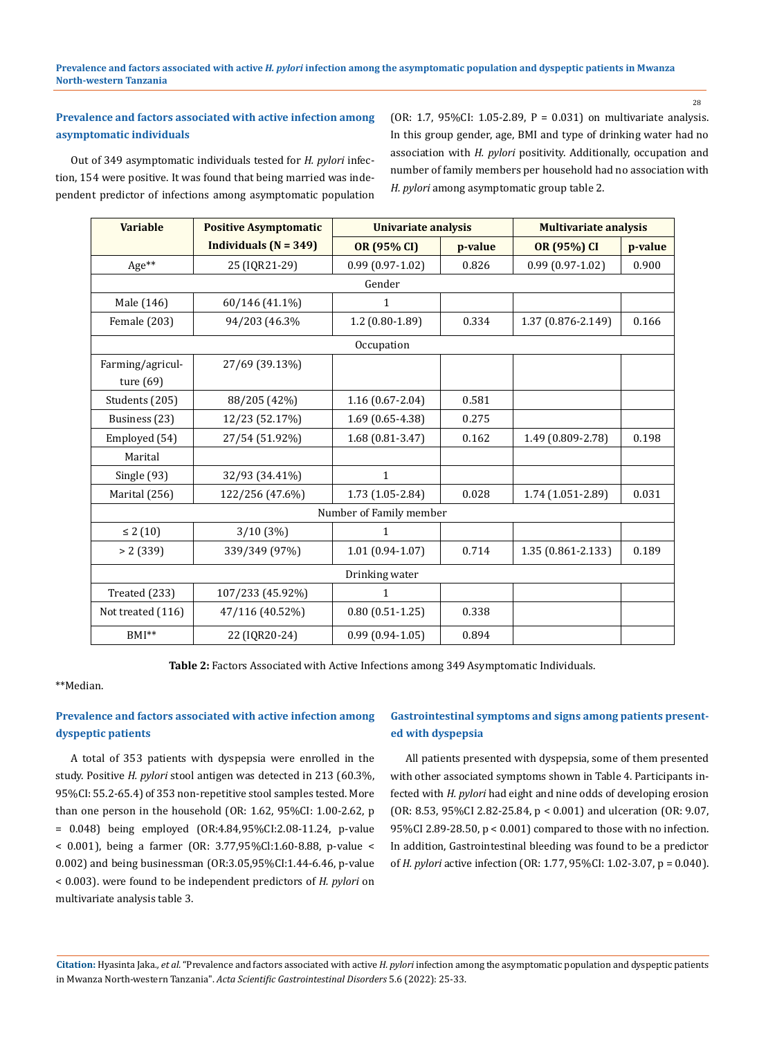## **Prevalence and factors associated with active infection among asymptomatic individuals**

Out of 349 asymptomatic individuals tested for *H. pylori* infection, 154 were positive. It was found that being married was independent predictor of infections among asymptomatic population (OR: 1.7, 95%CI: 1.05-2.89, P = 0.031) on multivariate analysis. In this group gender, age, BMI and type of drinking water had no association with *H. pylori* positivity. Additionally, occupation and number of family members per household had no association with *H. pylori* among asymptomatic group table 2.

| <b>Variable</b>                 | <b>Positive Asymptomatic</b>              | <b>Univariate analysis</b> |         | <b>Multivariate analysis</b> |         |  |
|---------------------------------|-------------------------------------------|----------------------------|---------|------------------------------|---------|--|
|                                 | <b>Individuals (<math>N = 349</math>)</b> | OR (95% CI)                | p-value | OR (95%) CI                  | p-value |  |
| Age**                           | 25 (IQR21-29)                             | $0.99(0.97 - 1.02)$        | 0.826   | $0.99(0.97 - 1.02)$          | 0.900   |  |
|                                 |                                           | Gender                     |         |                              |         |  |
| Male (146)                      | 60/146 (41.1%)                            | 1                          |         |                              |         |  |
| Female (203)                    | 94/203 (46.3%                             | $1.2(0.80-1.89)$           | 0.334   | 1.37 (0.876-2.149)           | 0.166   |  |
|                                 | Occupation                                |                            |         |                              |         |  |
| Farming/agricul-<br>ture $(69)$ | 27/69 (39.13%)                            |                            |         |                              |         |  |
| Students (205)                  | 88/205 (42%)                              | $1.16(0.67 - 2.04)$        | 0.581   |                              |         |  |
| Business (23)                   | 12/23 (52.17%)                            | 1.69 (0.65-4.38)           | 0.275   |                              |         |  |
| Employed (54)                   | 27/54 (51.92%)                            | $1.68(0.81 - 3.47)$        | 0.162   | 1.49 (0.809-2.78)            | 0.198   |  |
| Marital                         |                                           |                            |         |                              |         |  |
| Single (93)                     | 32/93 (34.41%)                            | $\mathbf{1}$               |         |                              |         |  |
| Marital (256)                   | 122/256 (47.6%)                           | 1.73 (1.05-2.84)           | 0.028   | 1.74 (1.051-2.89)            | 0.031   |  |
| Number of Family member         |                                           |                            |         |                              |         |  |
| $\leq 2(10)$                    | 3/10(3%)                                  | 1                          |         |                              |         |  |
| > 2(339)                        | 339/349 (97%)                             | $1.01(0.94-1.07)$          | 0.714   | 1.35 (0.861-2.133)           | 0.189   |  |
| Drinking water                  |                                           |                            |         |                              |         |  |
| Treated (233)                   | 107/233 (45.92%)                          | $\mathbf{1}$               |         |                              |         |  |
| Not treated (116)               | 47/116 (40.52%)                           | $0.80(0.51-1.25)$          | 0.338   |                              |         |  |
| BMI <sup>**</sup>               | 22 (IQR20-24)                             | $0.99(0.94-1.05)$          | 0.894   |                              |         |  |

**Table 2:** Factors Associated with Active Infections among 349 Asymptomatic Individuals.

\*\*Median.

## **Prevalence and factors associated with active infection among dyspeptic patients**

A total of 353 patients with dyspepsia were enrolled in the study. Positive *H. pylori* stool antigen was detected in 213 (60.3%, 95%CI: 55.2-65.4) of 353 non-repetitive stool samples tested. More than one person in the household (OR: 1.62, 95%CI: 1.00-2.62, p = 0.048) being employed (OR:4.84,95%CI:2.08-11.24, p-value < 0.001), being a farmer (OR: 3.77,95%Cl:1.60-8.88, p-value < 0.002) and being businessman (OR:3.05,95%CI:1.44-6.46, p-value < 0.003). were found to be independent predictors of *H. pylori* on multivariate analysis table 3.

## **Gastrointestinal symptoms and signs among patients presented with dyspepsia**

All patients presented with dyspepsia, some of them presented with other associated symptoms shown in Table 4. Participants infected with *H. pylori* had eight and nine odds of developing erosion (OR: 8.53, 95%CI 2.82-25.84, p < 0.001) and ulceration (OR: 9.07, 95%CI 2.89-28.50, p < 0.001) compared to those with no infection. In addition, Gastrointestinal bleeding was found to be a predictor of *H. pylori* active infection (OR: 1.77, 95%CI: 1.02-3.07, p = 0.040).

**Citation:** Hyasinta Jaka*., et al.* "Prevalence and factors associated with active *H. pylori* infection among the asymptomatic population and dyspeptic patients in Mwanza North-western Tanzania". *Acta Scientific Gastrointestinal Disorders* 5.6 (2022): 25-33.

28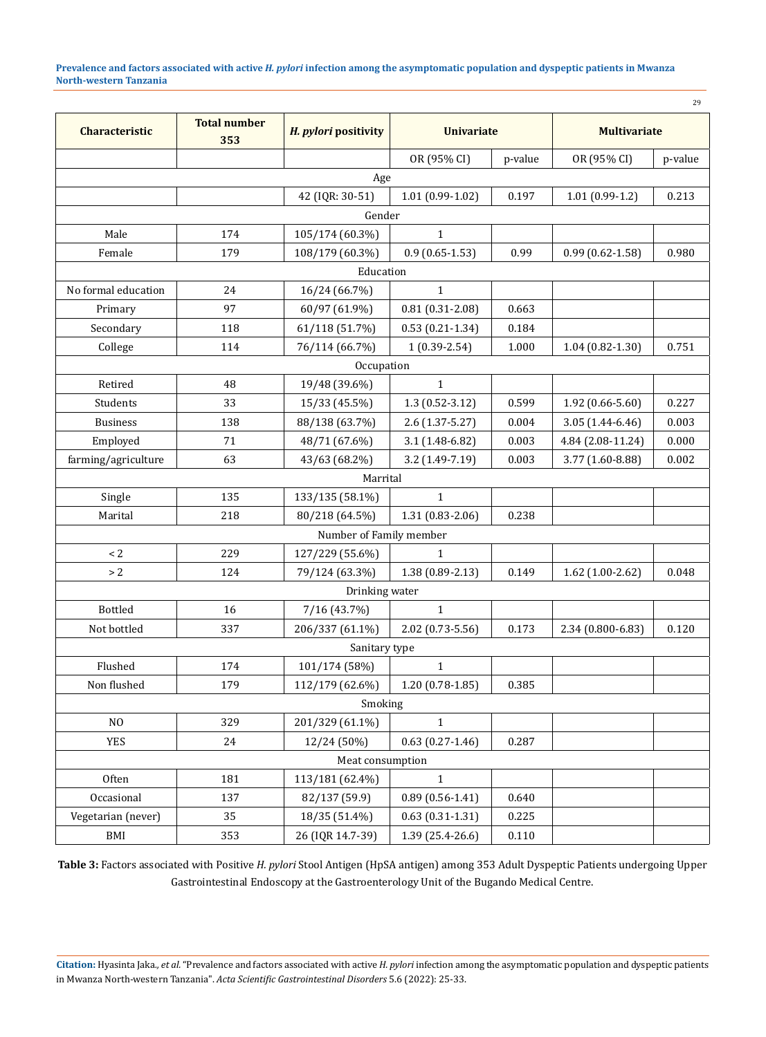**Prevalence and factors associated with active** *H. pylori* **infection among the asymptomatic population and dyspeptic patients in Mwanza North-western Tanzania**

29

| Characteristic      | <b>Total number</b><br>353 | H. pylori positivity    | <b>Univariate</b>   |         | <b>Multivariate</b> |         |
|---------------------|----------------------------|-------------------------|---------------------|---------|---------------------|---------|
|                     |                            |                         | OR (95% CI)         | p-value | OR (95% CI)         | p-value |
|                     |                            | Age                     |                     |         |                     |         |
|                     |                            | 42 (IQR: 30-51)         | $1.01(0.99-1.02)$   | 0.197   | $1.01(0.99-1.2)$    | 0.213   |
|                     |                            | Gender                  |                     |         |                     |         |
| Male                | 174                        | 105/174 (60.3%)         | $\mathbf{1}$        |         |                     |         |
| Female              | 179                        | 108/179 (60.3%)         | $0.9(0.65-1.53)$    | 0.99    | $0.99(0.62 - 1.58)$ | 0.980   |
|                     |                            | Education               |                     |         |                     |         |
| No formal education | 24                         | 16/24 (66.7%)           | $\mathbf{1}$        |         |                     |         |
| Primary             | 97                         | 60/97 (61.9%)           | $0.81(0.31 - 2.08)$ | 0.663   |                     |         |
| Secondary           | 118                        | 61/118 (51.7%)          | $0.53(0.21-1.34)$   | 0.184   |                     |         |
| College             | 114                        | 76/114 (66.7%)          | $1(0.39-2.54)$      | 1.000   | $1.04(0.82 - 1.30)$ | 0.751   |
|                     |                            | Occupation              |                     |         |                     |         |
| Retired             | 48                         | 19/48 (39.6%)           | $\mathbf{1}$        |         |                     |         |
| Students            | 33                         | 15/33 (45.5%)           | $1.3(0.52 - 3.12)$  | 0.599   | $1.92(0.66 - 5.60)$ | 0.227   |
| <b>Business</b>     | 138                        | 88/138 (63.7%)          | $2.6(1.37 - 5.27)$  | 0.004   | $3.05(1.44 - 6.46)$ | 0.003   |
| Employed            | 71                         | 48/71 (67.6%)           | 3.1 (1.48-6.82)     | 0.003   | 4.84 (2.08-11.24)   | 0.000   |
| farming/agriculture | 63                         | 43/63 (68.2%)           | 3.2 (1.49-7.19)     | 0.003   | 3.77 (1.60-8.88)    | 0.002   |
|                     |                            | Marrital                |                     |         |                     |         |
| Single              | 135                        | 133/135 (58.1%)         | $\mathbf{1}$        |         |                     |         |
| Marital             | 218                        | 80/218 (64.5%)          | 1.31 (0.83-2.06)    | 0.238   |                     |         |
|                     |                            | Number of Family member |                     |         |                     |         |
| $\leq 2$            | 229                        | 127/229 (55.6%)         | $\mathbf{1}$        |         |                     |         |
| $>2\,$              | 124                        | 79/124 (63.3%)          | 1.38 (0.89-2.13)    | 0.149   | $1.62$ (1.00-2.62)  | 0.048   |
| Drinking water      |                            |                         |                     |         |                     |         |
| <b>Bottled</b>      | 16                         | 7/16 (43.7%)            | $\mathbf{1}$        |         |                     |         |
| Not bottled         | 337                        | 206/337 (61.1%)         | 2.02 (0.73-5.56)    | 0.173   | 2.34 (0.800-6.83)   | 0.120   |
|                     |                            | Sanitary type           |                     |         |                     |         |
| Flushed             | 174                        | 101/174 (58%)           | $\mathbf{1}$        |         |                     |         |
| Non flushed         | 179                        | 112/179 (62.6%)         | $1.20(0.78-1.85)$   | 0.385   |                     |         |
| Smoking             |                            |                         |                     |         |                     |         |
| N <sub>O</sub>      | 329                        | 201/329 (61.1%)         | $\mathbf{1}$        |         |                     |         |
| <b>YES</b>          | 24                         | 12/24 (50%)             | $0.63(0.27-1.46)$   | 0.287   |                     |         |
| Meat consumption    |                            |                         |                     |         |                     |         |
| Often               | 181                        | 113/181 (62.4%)         | $\mathbf{1}$        |         |                     |         |
| Occasional          | 137                        | 82/137 (59.9)           | $0.89(0.56 - 1.41)$ | 0.640   |                     |         |
| Vegetarian (never)  | 35                         | 18/35 (51.4%)           | $0.63(0.31-1.31)$   | 0.225   |                     |         |
| BMI                 | 353                        | 26 (IQR 14.7-39)        | 1.39 (25.4-26.6)    | 0.110   |                     |         |

**Table 3:** Factors associated with Positive *H. pylori* Stool Antigen (HpSA antigen) among 353 Adult Dyspeptic Patients undergoing Upper Gastrointestinal Endoscopy at the Gastroenterology Unit of the Bugando Medical Centre.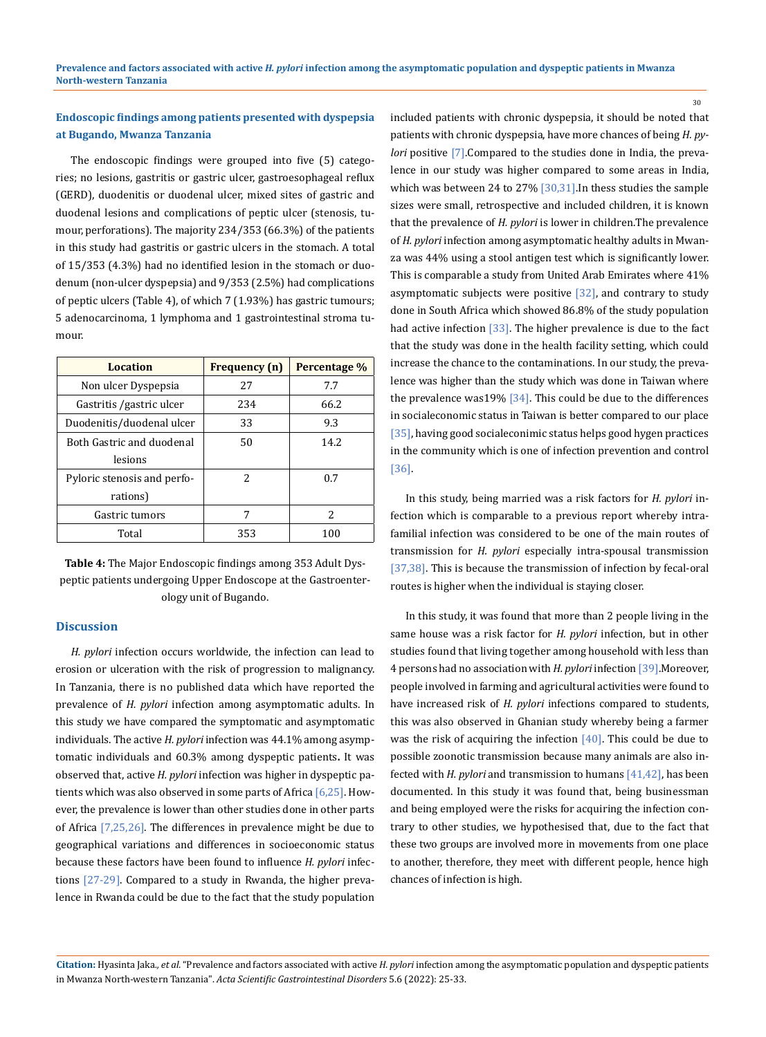## **Endoscopic findings among patients presented with dyspepsia at Bugando, Mwanza Tanzania**

The endoscopic findings were grouped into five (5) categories; no lesions, gastritis or gastric ulcer, gastroesophageal reflux (GERD), duodenitis or duodenal ulcer, mixed sites of gastric and duodenal lesions and complications of peptic ulcer (stenosis, tumour, perforations). The majority 234/353 (66.3%) of the patients in this study had gastritis or gastric ulcers in the stomach. A total of 15/353 (4.3%) had no identified lesion in the stomach or duodenum (non-ulcer dyspepsia) and 9/353 (2.5%) had complications of peptic ulcers (Table 4), of which 7 (1.93%) has gastric tumours; 5 adenocarcinoma, 1 lymphoma and 1 gastrointestinal stroma tumour.

| Location                    | <b>Frequency</b> (n) | Percentage % |
|-----------------------------|----------------------|--------------|
| Non ulcer Dyspepsia         | 27                   | 7.7          |
| Gastritis /gastric ulcer    | 234                  | 66.2         |
| Duodenitis/duodenal ulcer   | 33                   | 9.3          |
| Both Gastric and duodenal   | 50                   | 14.2         |
| lesions                     |                      |              |
| Pyloric stenosis and perfo- | 2                    | 0.7          |
| rations)                    |                      |              |
| Gastric tumors              | 7                    | 2            |
| Total                       | 353                  | 100          |

**Table 4:** The Major Endoscopic findings among 353 Adult Dyspeptic patients undergoing Upper Endoscope at the Gastroenterology unit of Bugando.

#### **Discussion**

*H. pylori* infection occurs worldwide, the infection can lead to erosion or ulceration with the risk of progression to malignancy. In Tanzania, there is no published data which have reported the prevalence of *H. pylori* infection among asymptomatic adults. In this study we have compared the symptomatic and asymptomatic individuals. The active *H. pylori* infection was 44.1% among asymptomatic individuals and 60.3% among dyspeptic patients**.** It was observed that, active *H. pylori* infection was higher in dyspeptic patients which was also observed in some parts of Africa  $[6,25]$ . However, the prevalence is lower than other studies done in other parts of Africa [7,25,26]. The differences in prevalence might be due to geographical variations and differences in socioeconomic status because these factors have been found to influence *H. pylori* infections [27-29]. Compared to a study in Rwanda, the higher prevalence in Rwanda could be due to the fact that the study population included patients with chronic dyspepsia, it should be noted that patients with chronic dyspepsia, have more chances of being *H. pylori* positive [7]. Compared to the studies done in India, the prevalence in our study was higher compared to some areas in India, which was between 24 to 27% [30,31]. In thess studies the sample sizes were small, retrospective and included children, it is known that the prevalence of *H. pylori* is lower in children.The prevalence of *H. pylori* infection among asymptomatic healthy adults in Mwanza was 44% using a stool antigen test which is significantly lower. This is comparable a study from United Arab Emirates where 41% asymptomatic subjects were positive  $[32]$ , and contrary to study done in South Africa which showed 86.8% of the study population had active infection  $\left[33\right]$ . The higher prevalence is due to the fact that the study was done in the health facility setting, which could increase the chance to the contaminations. In our study, the prevalence was higher than the study which was done in Taiwan where the prevalence was19%  $[34]$ . This could be due to the differences in socialeconomic status in Taiwan is better compared to our place [35], having good socialeconimic status helps good hygen practices in the community which is one of infection prevention and control [36].

30

In this study, being married was a risk factors for *H. pylori* infection which is comparable to a previous report whereby intrafamilial infection was considered to be one of the main routes of transmission for *H. pylori* especially intra-spousal transmission [37,38]. This is because the transmission of infection by fecal-oral routes is higher when the individual is staying closer.

In this study, it was found that more than 2 people living in the same house was a risk factor for *H. pylori* infection, but in other studies found that living together among household with less than 4 persons had no association with *H. pylori* infection [39].Moreover, people involved in farming and agricultural activities were found to have increased risk of *H. pylori* infections compared to students, this was also observed in Ghanian study whereby being a farmer was the risk of acquiring the infection  $[40]$ . This could be due to possible zoonotic transmission because many animals are also infected with *H. pylori* and transmission to humans [41,42], has been documented. In this study it was found that, being businessman and being employed were the risks for acquiring the infection contrary to other studies, we hypothesised that, due to the fact that these two groups are involved more in movements from one place to another, therefore, they meet with different people, hence high chances of infection is high.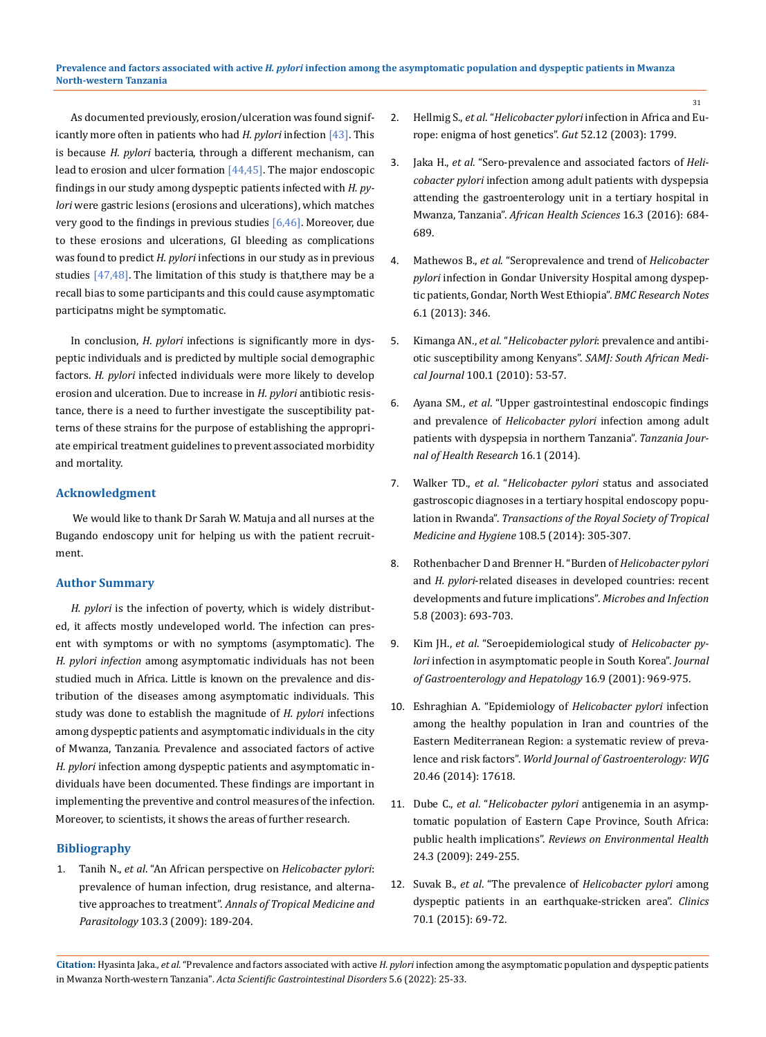As documented previously, erosion/ulceration was found significantly more often in patients who had *H. pylori* infection [43]. This is because *H. pylori* bacteria, through a different mechanism, can lead to erosion and ulcer formation [44,45]. The major endoscopic findings in our study among dyspeptic patients infected with *H. pylori* were gastric lesions (erosions and ulcerations), which matches very good to the findings in previous studies [6,46]. Moreover, due to these erosions and ulcerations, GI bleeding as complications was found to predict *H. pylori* infections in our study as in previous studies  $[47, 48]$ . The limitation of this study is that, there may be a recall bias to some participants and this could cause asymptomatic participatns might be symptomatic.

In conclusion, *H. pylori* infections is significantly more in dyspeptic individuals and is predicted by multiple social demographic factors. *H. pylori* infected individuals were more likely to develop erosion and ulceration. Due to increase in *H. pylori* antibiotic resistance, there is a need to further investigate the susceptibility patterns of these strains for the purpose of establishing the appropriate empirical treatment guidelines to prevent associated morbidity and mortality.

### **Acknowledgment**

 We would like to thank Dr Sarah W. Matuja and all nurses at the Bugando endoscopy unit for helping us with the patient recruitment.

### **Author Summary**

*H. pylori* is the infection of poverty, which is widely distributed, it affects mostly undeveloped world. The infection can present with symptoms or with no symptoms (asymptomatic). The *H. pylori infection* among asymptomatic individuals has not been studied much in Africa. Little is known on the prevalence and distribution of the diseases among asymptomatic individuals. This study was done to establish the magnitude of *H. pylori* infections among dyspeptic patients and asymptomatic individuals in the city of Mwanza, Tanzania. Prevalence and associated factors of active *H. pylori* infection among dyspeptic patients and asymptomatic individuals have been documented. These findings are important in implementing the preventive and control measures of the infection. Moreover, to scientists, it shows the areas of further research.

### **Bibliography**

1. Tanih N., *et al*[. "An African perspective on](https://pubmed.ncbi.nlm.nih.gov/19341534/) *Helicobacter pylori*: [prevalence of human infection, drug resistance, and alterna](https://pubmed.ncbi.nlm.nih.gov/19341534/)tive approaches to treatment". *[Annals of Tropical Medicine and](https://pubmed.ncbi.nlm.nih.gov/19341534/) Parasitology* [103.3 \(2009\): 189-204.](https://pubmed.ncbi.nlm.nih.gov/19341534/)

2. Hellmig S., *et al*. "*Helicobacter pylori* [infection in Africa and Eu](https://www.ncbi.nlm.nih.gov/pmc/articles/PMC1773899/)[rope: enigma of host genetics".](https://www.ncbi.nlm.nih.gov/pmc/articles/PMC1773899/) *Gut* 52.12 (2003): 1799.

31

- 3. Jaka H., *et al*[. "Sero-prevalence and associated factors of](https://www.ncbi.nlm.nih.gov/pmc/articles/PMC5111996/) *Helicobacter pylori* [infection among adult patients with dyspepsia](https://www.ncbi.nlm.nih.gov/pmc/articles/PMC5111996/)  [attending the gastroenterology unit in a tertiary hospital in](https://www.ncbi.nlm.nih.gov/pmc/articles/PMC5111996/)  Mwanza, Tanzania". *[African Health Sciences](https://www.ncbi.nlm.nih.gov/pmc/articles/PMC5111996/)* 16.3 (2016): 684- [689.](https://www.ncbi.nlm.nih.gov/pmc/articles/PMC5111996/)
- 4. Mathewos B., *et al*[. "Seroprevalence and trend of](https://www.researchgate.net/publication/258525733_Seroprevalence_and_trend_of_Helicobacter_pylori_infection_in_Gondar_University_Hospital_among_dyspeptic_patients_Gondar_North_West_Ethiopia) *Helicobacter pylori* [infection in Gondar University Hospital among dyspep](https://www.researchgate.net/publication/258525733_Seroprevalence_and_trend_of_Helicobacter_pylori_infection_in_Gondar_University_Hospital_among_dyspeptic_patients_Gondar_North_West_Ethiopia)[tic patients, Gondar, North West Ethiopia".](https://www.researchgate.net/publication/258525733_Seroprevalence_and_trend_of_Helicobacter_pylori_infection_in_Gondar_University_Hospital_among_dyspeptic_patients_Gondar_North_West_Ethiopia) *BMC Research Notes* [6.1 \(2013\): 346.](https://www.researchgate.net/publication/258525733_Seroprevalence_and_trend_of_Helicobacter_pylori_infection_in_Gondar_University_Hospital_among_dyspeptic_patients_Gondar_North_West_Ethiopia)
- 5. Kimanga AN., *et al*. "*[Helicobacter pylori](https://pubmed.ncbi.nlm.nih.gov/20429490/)*: prevalence and antibi[otic susceptibility among Kenyans".](https://pubmed.ncbi.nlm.nih.gov/20429490/) *SAMJ: South African Medical Journal* [100.1 \(2010\): 53-57.](https://pubmed.ncbi.nlm.nih.gov/20429490/)
- 6. Ayana SM., *et al*[. "Upper gastrointestinal endoscopic findings](https://pubmed.ncbi.nlm.nih.gov/26867268/)  and prevalence of *[Helicobacter pylori](https://pubmed.ncbi.nlm.nih.gov/26867268/)* infection among adult [patients with dyspepsia in northern Tanzania".](https://pubmed.ncbi.nlm.nih.gov/26867268/) *Tanzania Journal [of Health Research](https://pubmed.ncbi.nlm.nih.gov/26867268/)* 16.1 (2014).
- 7. Walker TD., *et al*. "*[Helicobacter pylori](https://pubmed.ncbi.nlm.nih.gov/24598794/)* status and associated [gastroscopic diagnoses in a tertiary hospital endoscopy popu](https://pubmed.ncbi.nlm.nih.gov/24598794/)lation in Rwanda". *[Transactions of the Royal Society of](https://pubmed.ncbi.nlm.nih.gov/24598794/) Tropical [Medicine and Hygiene](https://pubmed.ncbi.nlm.nih.gov/24598794/)* 108.5 (2014): 305-307.
- 8. [Rothenbacher D and Brenner H. "Burden of](https://pubmed.ncbi.nlm.nih.gov/12814770/) *Helicobacter pylori* and *H. pylori*[-related diseases in developed countries: recent](https://pubmed.ncbi.nlm.nih.gov/12814770/)  [developments and future implications".](https://pubmed.ncbi.nlm.nih.gov/12814770/) *Microbes and Infection* [5.8 \(2003\): 693-703.](https://pubmed.ncbi.nlm.nih.gov/12814770/)
- 9. Kim JH., *et al*[. "Seroepidemiological study of](https://pubmed.ncbi.nlm.nih.gov/11595059/) *Helicobacter pylori* [infection in asymptomatic people in South Korea".](https://pubmed.ncbi.nlm.nih.gov/11595059/) *Journal [of Gastroenterology and Hepatology](https://pubmed.ncbi.nlm.nih.gov/11595059/)* 16.9 (2001): 969-975.
- 10. [Eshraghian A. "Epidemiology of](https://pubmed.ncbi.nlm.nih.gov/25516677/) *Helicobacter pylori* infection [among the healthy population in Iran and countries of the](https://pubmed.ncbi.nlm.nih.gov/25516677/)  [Eastern Mediterranean Region: a systematic review of preva](https://pubmed.ncbi.nlm.nih.gov/25516677/)lence and risk factors". *[World Journal of Gastroenterology: WJG](https://pubmed.ncbi.nlm.nih.gov/25516677/)* [20.46 \(2014\): 17618.](https://pubmed.ncbi.nlm.nih.gov/25516677/)
- 11. Dube C., *et al*. "*Helicobacter pylori* [antigenemia in an asymp](https://pubmed.ncbi.nlm.nih.gov/19891122/)[tomatic population of Eastern Cape Province, South Africa:](https://pubmed.ncbi.nlm.nih.gov/19891122/)  public health implications". *[Reviews on Environmental Health](https://pubmed.ncbi.nlm.nih.gov/19891122/)* [24.3 \(2009\): 249-255.](https://pubmed.ncbi.nlm.nih.gov/19891122/)
- 12. Suvak B., *et al*. "The prevalence of *[Helicobacter pylori](https://www.ncbi.nlm.nih.gov/pmc/articles/PMC4311122/)* among [dyspeptic patients in an earthquake-stricken area".](https://www.ncbi.nlm.nih.gov/pmc/articles/PMC4311122/) *Clinics* [70.1 \(2015\): 69-72.](https://www.ncbi.nlm.nih.gov/pmc/articles/PMC4311122/)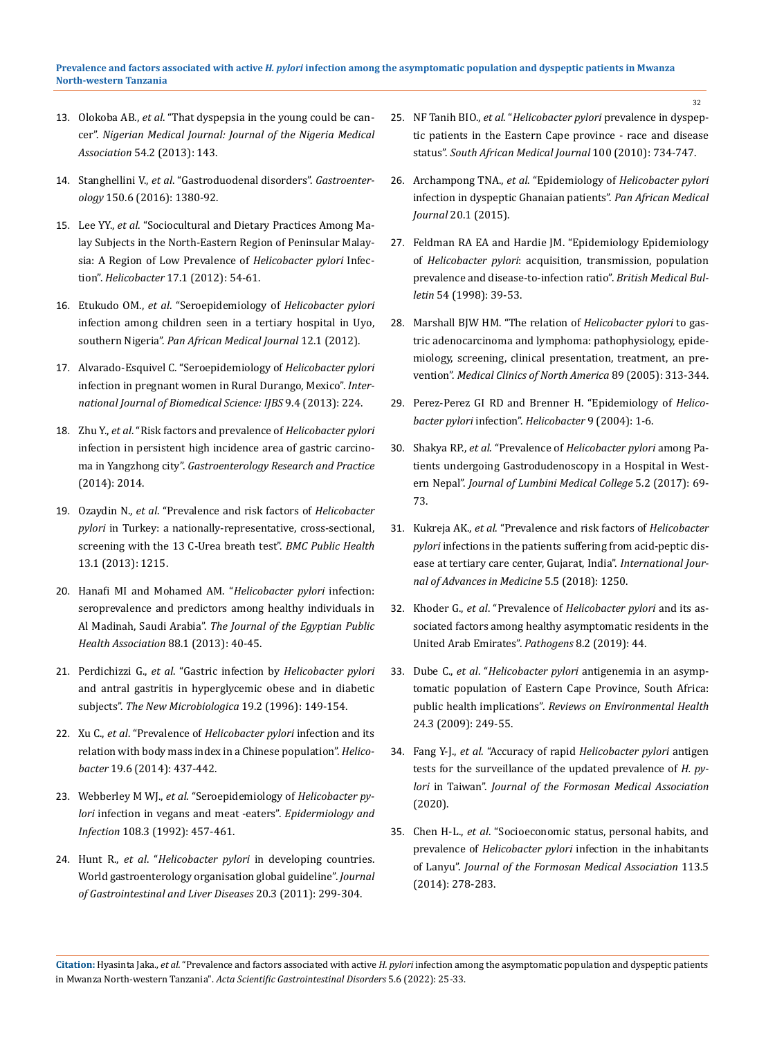- 13. Olokoba AB., *et al*[. "That dyspepsia in the young could be can](https://www.ncbi.nlm.nih.gov/pmc/articles/PMC3687867/)cer". *Nigerian Medical Journal: [Journal of the Nigeria Medical](https://www.ncbi.nlm.nih.gov/pmc/articles/PMC3687867/)  Association* [54.2 \(2013\): 143.](https://www.ncbi.nlm.nih.gov/pmc/articles/PMC3687867/)
- 14. Stanghellini V., *et al*[. "Gastroduodenal disorders".](https://pubmed.ncbi.nlm.nih.gov/27147122/) *Gastroenterology* [150.6 \(2016\): 1380-92.](https://pubmed.ncbi.nlm.nih.gov/27147122/)
- 15. Lee YY., *et al*[. "Sociocultural and Dietary Practices Among Ma](https://pubmed.ncbi.nlm.nih.gov/22221617/)[lay Subjects in the North-Eastern Region of Peninsular Malay](https://pubmed.ncbi.nlm.nih.gov/22221617/)[sia: A Region of Low Prevalence of](https://pubmed.ncbi.nlm.nih.gov/22221617/) *Helicobacter pylori* Infection". *Helicobacter* [17.1 \(2012\): 54-61.](https://pubmed.ncbi.nlm.nih.gov/22221617/)
- 16. Etukudo OM., *et al*. "Seroepidemiology of *[Helicobacter pylori](https://pubmed.ncbi.nlm.nih.gov/22891097/)* [infection among children seen in a tertiary hospital in Uyo,](https://pubmed.ncbi.nlm.nih.gov/22891097/)  southern Nigeria". *[Pan African Medical Journal](https://pubmed.ncbi.nlm.nih.gov/22891097/)* 12.1 (2012).
- 17. [Alvarado-Esquivel C. "Seroepidemiology of](https://www.ncbi.nlm.nih.gov/pmc/articles/PMC3884792/) *Helicobacter pylori* [infection in pregnant women in Rural Durango, Mexico".](https://www.ncbi.nlm.nih.gov/pmc/articles/PMC3884792/) *Inter[national Journal of Biomedical Science: IJBS](https://www.ncbi.nlm.nih.gov/pmc/articles/PMC3884792/)* 9.4 (2013): 224.
- 18. Zhu Y., *et al*[. "Risk factors and prevalence of](https://pubmed.ncbi.nlm.nih.gov/24550981/) *Helicobacter pylori* [infection in persistent high incidence area of gastric carcino](https://pubmed.ncbi.nlm.nih.gov/24550981/)ma in Yangzhong city". *[Gastroenterology Research and Practice](https://pubmed.ncbi.nlm.nih.gov/24550981/)* [\(2014\): 2014.](https://pubmed.ncbi.nlm.nih.gov/24550981/)
- 19. Ozaydin N., *et al*[. "Prevalence and risk factors of](https://pubmed.ncbi.nlm.nih.gov/24359515/) *Helicobacter pylori* [in Turkey: a nationally-representative, cross-sectional,](https://pubmed.ncbi.nlm.nih.gov/24359515/)  [screening with the 13 C-Urea breath test".](https://pubmed.ncbi.nlm.nih.gov/24359515/) *BMC Public Health*  [13.1 \(2013\): 1215.](https://pubmed.ncbi.nlm.nih.gov/24359515/)
- 20. [Hanafi MI and Mohamed AM. "](https://pubmed.ncbi.nlm.nih.gov/23528531/)*Helicobacter pylori* infection: [seroprevalence and predictors among healthy individuals in](https://pubmed.ncbi.nlm.nih.gov/23528531/)  Al Madinah, Saudi Arabia". *[The Journal of the Egyptian Public](https://pubmed.ncbi.nlm.nih.gov/23528531/) [Health Association](https://pubmed.ncbi.nlm.nih.gov/23528531/)* 88.1 (2013): 40-45.
- 21. Perdichizzi G., *et al*. "Gastric infection by *[Helicobacter pylori](https://pubmed.ncbi.nlm.nih.gov/8722311/)* [and antral gastritis in hyperglycemic obese and in diabetic](https://pubmed.ncbi.nlm.nih.gov/8722311/)  subjects". *[The New Microbiologica](https://pubmed.ncbi.nlm.nih.gov/8722311/)* 19.2 (1996): 149-154.
- 22. Xu C., *et al*. "Prevalence of *[Helicobacter pylori](https://pubmed.ncbi.nlm.nih.gov/25256639/)* infection and its [relation with body mass index in a Chinese population".](https://pubmed.ncbi.nlm.nih.gov/25256639/) *Helicobacter* [19.6 \(2014\): 437-442.](https://pubmed.ncbi.nlm.nih.gov/25256639/)
- 23. Webberley M WJ., *et al*[. "Seroepidemiology of](https://www.ncbi.nlm.nih.gov/pmc/articles/PMC3974532/) *Helicobacter pylori* [infection in vegans and meat -eaters".](https://www.ncbi.nlm.nih.gov/pmc/articles/PMC3974532/) *Epidermiology and Infection* [108.3 \(1992\): 457-461.](https://www.ncbi.nlm.nih.gov/pmc/articles/PMC3974532/)
- 24. Hunt R., *et al*. "*Helicobacter pylori* [in developing countries.](https://pubmed.ncbi.nlm.nih.gov/21961099/)  [World gastroenterology organisation global guideline".](https://pubmed.ncbi.nlm.nih.gov/21961099/) *Journal [of Gastrointestinal and Liver Diseases](https://pubmed.ncbi.nlm.nih.gov/21961099/)* 20.3 (2011): 299-304.

25. NF Tanih BIO., *et al*. "*[Helicobacter pylori](https://pubmed.ncbi.nlm.nih.gov/21081026/)* prevalence in dyspep[tic patients in the Eastern Cape province - race and disease](https://pubmed.ncbi.nlm.nih.gov/21081026/)  status". *[South African Medical Journal](https://pubmed.ncbi.nlm.nih.gov/21081026/)* 100 (2010): 734-747.

32

- 26. Archampong TNA., *et al*. "Epidemiology of *[Helicobacter pylori](https://pubmed.ncbi.nlm.nih.gov/26430475/)* [infection in dyspeptic Ghanaian patients".](https://pubmed.ncbi.nlm.nih.gov/26430475/) *Pan African Medical Journal* [20.1 \(2015\).](https://pubmed.ncbi.nlm.nih.gov/26430475/)
- 27. [Feldman RA EA and Hardie JM. "Epidemiology Epidemiology](https://pubmed.ncbi.nlm.nih.gov/9604429/)  of *Helicobacter pylori*[: acquisition, transmission, population](https://pubmed.ncbi.nlm.nih.gov/9604429/)  [prevalence and disease-to-infection ratio".](https://pubmed.ncbi.nlm.nih.gov/9604429/) *British Medical Bulletin* [54 \(1998\): 39-53.](https://pubmed.ncbi.nlm.nih.gov/9604429/)
- 28. [Marshall BJW HM. "The relation of](https://pubmed.ncbi.nlm.nih.gov/15656929/) *Helicobacter pylori* to gas[tric adenocarcinoma and lymphoma: pathophysiology, epide](https://pubmed.ncbi.nlm.nih.gov/15656929/)[miology, screening, clinical presentation, treatment, an pre](https://pubmed.ncbi.nlm.nih.gov/15656929/)vention". *[Medical Clinics of North America](https://pubmed.ncbi.nlm.nih.gov/15656929/)* 89 (2005): 313-344.
- 29. [Perez-Perez GI RD and Brenner H. "Epidemiology of](https://pubmed.ncbi.nlm.nih.gov/25167938/) *Helico[bacter pylori](https://pubmed.ncbi.nlm.nih.gov/25167938/)* infection". *Helicobacter* 9 (2004): 1-6.
- 30. Shakya RP., *et al*. "Prevalence of *[Helicobacter pylori](https://www.ncbi.nlm.nih.gov/pmc/articles/PMC3868123/)* among Pa[tients undergoing Gastrodudenoscopy in a Hospital in West](https://www.ncbi.nlm.nih.gov/pmc/articles/PMC3868123/)ern Nepal". *[Journal of Lumbini Medical College](https://www.ncbi.nlm.nih.gov/pmc/articles/PMC3868123/)* 5.2 (2017): 69- [73.](https://www.ncbi.nlm.nih.gov/pmc/articles/PMC3868123/)
- 31. Kukreja AK., *et al*[. "Prevalence and risk factors of](https://www.researchgate.net/publication/327827098_Prevalence_and_risk_factors_of_Helicobacter_pylori_infections_in_the_patients_suffering_from_acid-peptic_disease_at_tertiary_care_center_Gujarat_India/fulltext/5ba6e43b92851ca9ed1f2ebe/Prevalence-and-risk-factors-of-Helicobacter-pylori-infections-in-the-patients-suffering-from-acid-peptic-disease-at-tertiary-care-center-Gujarat-India.pdf) *Helicobacter pylori* [infections in the patients suffering from acid-peptic dis](https://www.researchgate.net/publication/327827098_Prevalence_and_risk_factors_of_Helicobacter_pylori_infections_in_the_patients_suffering_from_acid-peptic_disease_at_tertiary_care_center_Gujarat_India/fulltext/5ba6e43b92851ca9ed1f2ebe/Prevalence-and-risk-factors-of-Helicobacter-pylori-infections-in-the-patients-suffering-from-acid-peptic-disease-at-tertiary-care-center-Gujarat-India.pdf)[ease at tertiary care center, Gujarat, India".](https://www.researchgate.net/publication/327827098_Prevalence_and_risk_factors_of_Helicobacter_pylori_infections_in_the_patients_suffering_from_acid-peptic_disease_at_tertiary_care_center_Gujarat_India/fulltext/5ba6e43b92851ca9ed1f2ebe/Prevalence-and-risk-factors-of-Helicobacter-pylori-infections-in-the-patients-suffering-from-acid-peptic-disease-at-tertiary-care-center-Gujarat-India.pdf) *International Jour[nal of Advances in Medicine](https://www.researchgate.net/publication/327827098_Prevalence_and_risk_factors_of_Helicobacter_pylori_infections_in_the_patients_suffering_from_acid-peptic_disease_at_tertiary_care_center_Gujarat_India/fulltext/5ba6e43b92851ca9ed1f2ebe/Prevalence-and-risk-factors-of-Helicobacter-pylori-infections-in-the-patients-suffering-from-acid-peptic-disease-at-tertiary-care-center-Gujarat-India.pdf)* 5.5 (2018): 1250.
- 32. Khoder G., *et al*. "Prevalence of *[Helicobacter pylori](https://pubmed.ncbi.nlm.nih.gov/30939800/)* and its as[sociated factors among healthy asymptomatic residents in the](https://pubmed.ncbi.nlm.nih.gov/30939800/)  [United Arab Emirates".](https://pubmed.ncbi.nlm.nih.gov/30939800/) *Pathogens* 8.2 (2019): 44.
- 33. Dube C., *et al*. "*Helicobacter pylori* [antigenemia in an asymp](https://pubmed.ncbi.nlm.nih.gov/19891122/)[tomatic population of Eastern Cape Province, South Africa:](https://pubmed.ncbi.nlm.nih.gov/19891122/)  public health implications". *[Reviews on Environmental Health](https://pubmed.ncbi.nlm.nih.gov/19891122/)*  [24.3 \(2009\): 249-55.](https://pubmed.ncbi.nlm.nih.gov/19891122/)
- 34. Fang Y-J., *et al*. "Accuracy of rapid *[Helicobacter pylori](https://pubmed.ncbi.nlm.nih.gov/31926791/)* antigen [tests for the surveillance of the updated prevalence of](https://pubmed.ncbi.nlm.nih.gov/31926791/) *H. pylori* in Taiwan". *[Journal of the Formosan Medical Association](https://pubmed.ncbi.nlm.nih.gov/31926791/)* [\(2020\).](https://pubmed.ncbi.nlm.nih.gov/31926791/)
- 35. Chen H-L., *et al*[. "Socioeconomic status, personal habits, and](https://pubmed.ncbi.nlm.nih.gov/24389268/)  prevalence of *Helicobacter pylori* [infection in the inhabitants](https://pubmed.ncbi.nlm.nih.gov/24389268/)  of Lanyu". *[Journal of the Formosan Medical Association](https://pubmed.ncbi.nlm.nih.gov/24389268/)* 113.5 [\(2014\): 278-283.](https://pubmed.ncbi.nlm.nih.gov/24389268/)